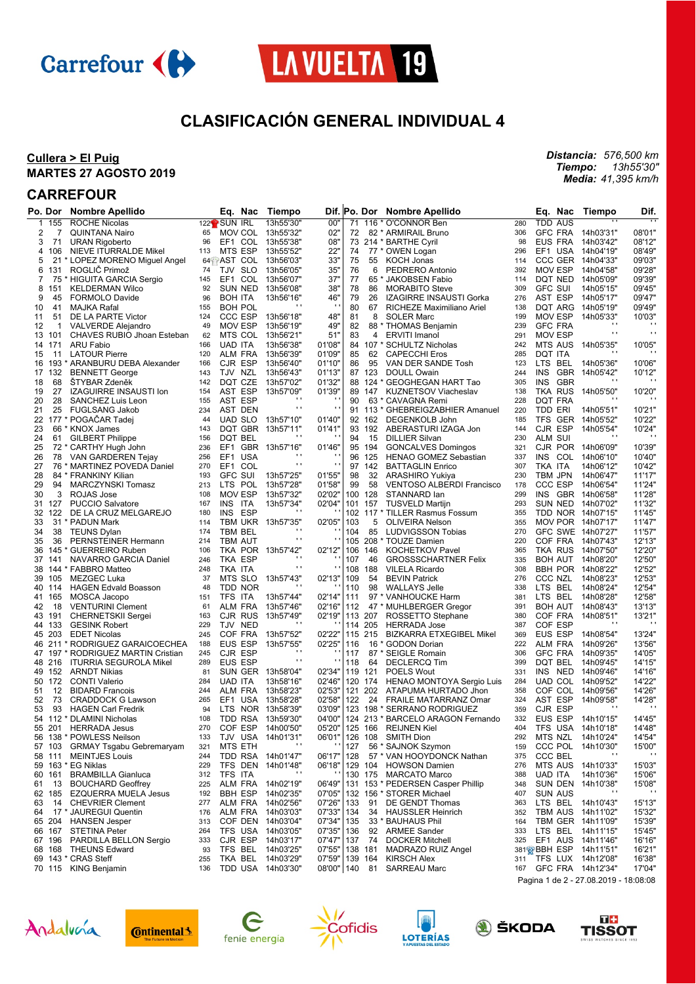



## **CLASIFICACIÓN GENERAL INDIVIDUAL 4**

### **Cullera > El Puig MARTES 27 AGOSTO 2019**

### **CARREFOUR**

|          | Po. Dor | <b>Nombre Apellido</b>                                |            | Eq.<br>Nac                | Tiempo                     |                  |     | Dif. Po. Dor | <b>Nombre Apellido</b>                                           |            | Eq.<br>Nac               | Tiempo                   | Dif.           |
|----------|---------|-------------------------------------------------------|------------|---------------------------|----------------------------|------------------|-----|--------------|------------------------------------------------------------------|------------|--------------------------|--------------------------|----------------|
|          | 1 155   | <b>ROCHE Nicolas</b>                                  |            | 122 <sup>2</sup> SUN IRL  | 13h55'30"                  | 00"              | 71  |              | 116 * O'CONNOR Ben                                               | 280        | <b>TDD AUS</b>           |                          |                |
| 2        | 7       | <b>QUINTANA Nairo</b>                                 | 65         | MOV COL 13h55'32"         |                            | 02"              | 72  |              | 82 * ARMIRAIL Bruno                                              | 306        | <b>GFC FRA</b>           | 14h03'31"                | 08'01"         |
| 3        | 71      | <b>URAN Rigoberto</b>                                 | 96         | EF1 COL                   | 13h55'38"                  | 08"              |     |              | 73 214 * BARTHE Cyril                                            | 98         | EUS FRA                  | 14h03'42"                | 08'12"         |
| 4        | 106     | NIEVE ITURRALDE Mikel                                 | 113        | MTS ESP                   | 13h55'52"                  | 22"              | 74  |              | 77 * OWEN Logan                                                  | 296        | EF1 USA                  | 14h04'19"                | 08'49"         |
| 5        |         | 21 * LOPEZ MORENO Miguel Angel                        |            | 64 AST COL 13h56'03"      |                            | 33"              | 75  | 55           | <b>KOCH Jonas</b>                                                | 114        | CCC GER                  | 14h04'33"                | 09'03"         |
| 6        | 131     | ROGLIČ Primož                                         | 74         | <b>SLO</b><br>TJV         | 13h56'05"                  | 35"              | 76  | 6            | PEDRERO Antonio                                                  | 392        | <b>MOV ESP</b>           | 14h04'58"                | 09'28"         |
| 7        |         | 75 * HIGUITA GARCIA Sergio                            | 145        | EF <sub>1</sub><br>COL    | 13h56'07"                  | 37"              | 77  |              | 65 * JAKOBSEN Fabio                                              | 114        | DQT NED                  | 14h05'09"                | 09'39"         |
| 8        | 151     | <b>KELDERMAN Wilco</b>                                | 92         | SUN NED                   | 13h56'08"                  | 38"              | 78  | 86           | <b>MORABITO Steve</b>                                            | 309        | <b>GFC SUI</b>           | 14h05'15"                | 09'45'         |
| 9        | 45      | <b>FORMOLO Davide</b>                                 | 96         | <b>BOH ITA</b>            | 13h56'16"                  | 46"              | 79  | 26           | IZAGIRRE INSAUSTI Gorka                                          | 276        | AST ESP                  | 14h05'17"                | 09'47"         |
| 10       | 41      | MAJKA Rafal                                           | 155        | <b>BOH POL</b>            |                            | $\mathbf{r}$     | 80  | 67           | RICHEZE Maximiliano Ariel                                        | 138        | DQT ARG                  | 14h05'19"                | 09'49"         |
| 11       | 51      | DE LA PARTE Victor                                    | 124        | CCC ESP                   | 13h56'18"                  | 48"              | 81  | 8            | <b>SOLER Marc</b>                                                | 199        | <b>MOV ESP</b>           | 14h05'33"                | 10'03"         |
| 12       | 1       | <b>VALVERDE Alejandro</b>                             | 49         | MOV ESP                   | 13h56'19"                  | 49"              | 82  |              | 88 * THOMAS Benjamin                                             | 239        | <b>GFC FRA</b>           | $\cdots$                 |                |
|          | 13 101  | CHAVES RUBIO Jhoan Esteban                            | 62         | MTS COL                   | 13h56'21"                  | 51"              | 83  | 4            | <b>ERVITI Imanol</b>                                             | 291        | <b>MOV ESP</b>           | $\cdot$                  | $\mathbf{r}$ : |
|          | 14 171  | <b>ARU Fabio</b>                                      | 166        | <b>UAD ITA</b>            | 13h56'38"                  | 01'08'           |     |              | 84 107 * SCHULTZ Nicholas                                        | 242        | <b>MTS AUS</b>           | 14h05'35"                | 10'05'         |
| 15       | 11      | <b>LATOUR Pierre</b>                                  | 120        | <b>ALM FRA</b>            | 13h56'39"                  | 01'09'           | 85  | 62           | <b>CAPECCHI Eros</b>                                             | 285        | <b>DQT ITA</b>           |                          |                |
|          |         | 16 193 * ARANBURU DEBA Alexander                      | 166        | CJR ESP                   | 13h56'40"                  | 01'10"           | 86  | 95           | VAN DER SANDE Tosh                                               | 123        | LTS BEL                  | 14h05'36"                | 10'06"         |
|          | 17 132  | <b>BENNETT George</b>                                 | 143        | TJV NZL                   | 13h56'43"                  | 01'13"           |     | 87 123       | DOULL Owain                                                      | 244        | <b>INS</b><br><b>GBR</b> | 14h05'42"<br>$\cdots$    | 10'12"         |
| 18       | 68      | <b>STYBAR Zdeněk</b>                                  | 142        | DQT CZE                   | 13h57'02"                  | 01'32"           |     |              | 88 124 * GEOGHEGAN HART Tao                                      | 305        | <b>INS</b><br>GBR        |                          |                |
| 19       | 27      | <b>IZAGUIRRE INSAUSTI Ion</b>                         | 154        | AST ESP                   | 13h57'09"<br>$\cdot$       | 01'39"           |     | 89 147       | <b>KUZNETSOV Viacheslav</b>                                      | 138        | TKA RUS                  | 14h05'50"<br>$\cdots$    | 10'20"         |
| 20       | 28      | SANCHEZ Luis Leon                                     | 155        | AST ESP                   | $\blacksquare$             | $\mathbf{r}$     | 90  |              | 63 * CAVAGNA Remi                                                | 228        | DQT FRA                  |                          |                |
| 21       | 25      | <b>FUGLSANG Jakob</b>                                 | 234        | AST DEN                   |                            |                  |     |              | 91 113 * GHEBREIGZABHIER Amanuel                                 | 220        | TDD ERI                  | 14h05'51"                | 10'21"         |
| 22       |         | 177 * POGACAR Tadej                                   | 44         | <b>UAD SLO</b>            | 13h57'10"                  | 01'40"           |     | 92 162       | DEGENKOLB John                                                   | 185        | TFS GER                  | 14h05'52"                | 10'22"         |
| 23       |         | 66 * KNOX James                                       | 143        | DQT GBR 13h57'11"         | $\cdot$                    | 01'41"           |     | 93 192       | ABERASTURI IZAGA Jon                                             | 144        | CJR ESP                  | 14h05'54"<br>$\cdots$    | 10'24"         |
| 24<br>25 | 61      | <b>GILBERT Philippe</b>                               | 156<br>236 | DQT BEL<br>EF1            |                            | 01'46"           | 94  | 15<br>95 194 | <b>DILLIER Silvan</b>                                            | 230        | ALM SUI<br>CJR POR       |                          | 10'39"         |
|          |         | 72 * CARTHY Hugh John<br>VAN GARDEREN Tejay           |            | EF1 USA                   | GBR 13h57'16"<br>$\cdot$   |                  |     | 96 125       | <b>GONCALVES Domingos</b>                                        | 321<br>337 | INS COL                  | 14h06'09"<br>14h06'10"   | 10'40"         |
| 26<br>27 | 78      |                                                       | 256<br>270 | EF1 COL                   | $\blacksquare$             | $\blacksquare$   |     | 97 142       | HENAO GOMEZ Sebastian<br><b>BATTAGLIN Enrico</b>                 | 307        | TKA ITA                  | 14h06'12"                | 10'42"         |
| 28       |         | 76 * MARTINEZ POVEDA Daniel<br>84 * FRANKINY Kilian   | 193        | <b>GFC SUI</b>            | 13h57'25"                  | 01'55"           | 98  | 32           | <b>ARASHIRO Yukiya</b>                                           | 230        | TBM JPN                  | 14h06'47"                | 11'17'         |
| 29       | 94      | <b>MARCZYNSKI Tomasz</b>                              | 213        | LTS POL                   | 13h57'28"                  | 01'58'           | 99  | 58           | <b>VENTOSO ALBERDI Francisco</b>                                 | 178        | <b>CCC ESP</b>           | 14h06'54"                | 11'24'         |
| 30       | 3       | ROJAS Jose                                            | 108        | <b>MOV ESP</b>            | 13h57'32"                  | 02'02"           |     | 100 128      | STANNARD lan                                                     | 299        | INS GBR                  | 14h06'58"                | 11'28"         |
| 31       | 127     | <b>PUCCIO Salvatore</b>                               | 167        | INS.<br>ITA               | 13h57'34"                  | 02'04"           |     | 101 157      | <b>TUSVELD Martijn</b>                                           | 293        | SUN NED                  | 14h07'02"                | 11'32"         |
| 32       | 122     | DE LA CRUZ MELGAREJO                                  | 180        | INS<br>ESP                | $\mathbf{r}$               |                  |     |              | 102 117 * TILLER Rasmus Fossum                                   | 355        | TDD NOR 14h07'15"        |                          | 11'45'         |
| 33       |         | 31 * PADUN Mark                                       | 114        | TBM UKR 13h57'35"         |                            | 02'05"           | 103 | 5            | <b>OLIVEIRA Nelson</b>                                           | 355        | <b>MOV POR</b>           | 14h07'17"                | 11'47'         |
| 34       | 38      | <b>TEUNS Dylan</b>                                    | 174        | TBM BEL                   | $\cdot$                    |                  | 104 | 85           | LUDVIGSSON Tobias                                                | 270        | GFC SWE                  | 14h07'27"                | 11'57"         |
| 35       | 36      | PERNSTEINER Hermann                                   | 214        | <b>TBM AUT</b>            | $\blacksquare$             |                  |     |              | 105 208 * TOUZE Damien                                           | 220        | COF FRA                  | 14h07'43"                | 12'13"         |
| 36       | 145     | <b>GUERREIRO Ruben</b>                                | 106        | TKA POR 13h57'42"         |                            | 02'12"           |     | 106 146      | <b>KOCHETKOV Pavel</b>                                           | 365        | TKA RUS                  | 14h07'50"                | 12'20"         |
|          | 37 141  | NAVARRO GARCIA Daniel                                 | 246        | TKA ESP                   | $\cdot$                    |                  | 107 | 46           | <b>GROSSSCHARTNER Felix</b>                                      | 335        | <b>BOH AUT</b>           | 14h08'20"                | 12'50"         |
| 38       |         | 144 * FABBRO Matteo                                   | 248        | TKA ITA                   | $\cdot$                    |                  |     | 108 188      | <b>VILELA Ricardo</b>                                            | 308        | <b>BBH POR</b>           | 14h08'22"                | 12'52"         |
| 39       | 105     | MEZGEC Luka                                           | 37         | MTS SLO                   | 13h57'43"                  | 02'13"           | 109 | 54           | <b>BEVIN Patrick</b>                                             | 276        | <b>CCC NZL</b>           | 14h08'23"                | 12'53"         |
|          | 40 114  | <b>HAGEN Edvald Boasson</b>                           | 48         | TDD NOR                   | $\cdot$                    |                  | 110 | 98           | <b>WALLAYS Jelle</b>                                             | 338        | LTS BEL                  | 14h08'24"                | 12'54"         |
| 41       | 165     | MOSCA Jacopo                                          | 151        | TFS ITA                   | 13h57'44"                  | 02'14"           | 111 |              | 97 * VANHOUCKE Harm                                              | 381        | LTS BEL                  | 14h08'28"                | 12'58'         |
| 42       | 18      | <b>VENTURINI Clement</b>                              | 61         | ALM FRA                   | 13h57'46"                  | 02'16"           | 112 |              | 47 * MUHLBERGER Gregor                                           | 391        | <b>BOH AUT</b>           | 14h08'43"                | 13'13"         |
|          | 43 191  | <b>CHERNETSKII Sergei</b>                             | 163        | CJR RUS                   | 13h57'49"                  | 02'19"           |     | 113 207      | ROSSETTO Stephane                                                | 380        | COF FRA                  | 14h08'51"                | 13'21'         |
|          | 44 133  | <b>GESINK Robert</b>                                  | 229        | TJV NED                   | $\cdot$                    |                  |     | 114 205      | <b>HERRADA Jose</b>                                              | 387        | COF ESP                  | $\overline{\phantom{a}}$ |                |
|          | 45 203  | <b>EDET Nicolas</b>                                   | 245        | COF FRA                   | 13h57'52"                  | 02'22"           |     | 115 215      | <b>BIZKARRA ETXEGIBEL Mikel</b>                                  | 369        | EUS ESP                  | 14h08'54"                | 13'24"         |
|          |         | 46 211 * RODRIGUEZ GARAICOECHEA                       | 188        | EUS ESP                   | 13h57'55"                  | 02'25"           | 116 |              | 16 * GODON Dorian                                                | 222        | ALM FRA                  | 14h09'26"                | 13'56"         |
|          |         | 47 197 * RODRIGUEZ MARTIN Cristian                    | 245        | CJR ESP                   | $\cdot$<br>$\blacksquare$  |                  | 117 |              | 87 * SEIGLE Romain                                               | 306        | <b>GFC FRA</b>           | 14h09'35"                | 14'05'         |
|          | 48 216  | <b>ITURRIA SEGUROLA Mikel</b>                         | 289        | <b>EUS ESP</b>            |                            |                  | 118 | 64           | <b>DECLERCQ Tim</b>                                              | 399        | DQT BEL                  | 14h09'45"                | 14'15"         |
|          | 49 152  | <b>ARNDT Nikias</b>                                   | 81         | SUN GER 13h58'04"         |                            | 02'34"           |     | 119 121      | <b>POELS Wout</b>                                                | 331        | INS NED                  | 14h09'46"                | 14'16"         |
|          | 50 172  | <b>CONTI Valerio</b>                                  | 284        | <b>UAD ITA</b>            | 13h58'16"                  | 02'46'           |     | 120 174      | <b>HENAO MONTOYA Sergio Luis</b>                                 | 284        | <b>UAD COL</b>           | 14h09'52"                | 14'22"         |
| 51       | 12      | <b>BIDARD Francois</b>                                | 244        | ALM FRA                   | 13h58'23"                  | 02'53"           |     | 121 202      | ATAPUMA HURTADO Jhon                                             | 358        | COF COL                  | 14h09'56"                | 14'26"         |
| 52       | 73      | <b>CRADDOCK G Lawson</b><br><b>HAGEN Carl Fredrik</b> | 265<br>94  | EF1 USA                   | 13h58'28"<br>NOR 13h58'39" | 02'58"<br>03'09" | 122 | 24           | <b>FRAILE MATARRANZ Omar</b>                                     | 324<br>359 | AST ESP<br>CJR ESP       | 14h09'58"<br>. .         | 14'28"         |
| 53       | 93      | 54 112 * DLAMINI Nicholas                             | 108        | LTS.<br>TDD RSA 13h59'30" |                            | 04'00"           |     |              | 123 198 * SERRANO RODRIGUEZ<br>124 213 * BARCELO ARAGON Fernando | 332        | EUS ESP                  | 14h10'15"                | 14'45'         |
|          | 55 201  | <b>HERRADA Jesus</b>                                  | 270        | COF ESP                   | 14h00'50"                  |                  |     |              | 05'20"   125 166 REIJNEN Kiel                                    | 404        | TFS USA 14h10'18"        |                          | 14'48"         |
|          |         | 56 138 * POWLESS Neilson                              | 133        | TJV USA 14h01'31"         |                            |                  |     |              | 06'01"   126 108 SMITH Dion                                      | 292        | MTS NZL                  | 14h10'24"                | 14'54'         |
|          | 57 103  | <b>GRMAY Tsgabu Gebremaryam</b>                       | 321        | MTS ETH                   |                            |                  | 127 |              | 56 * SAJNOK Szymon                                               | 159        | CCC POL                  | 14h10'30"                | 15'00"         |
|          | 58 111  | <b>MEINTJES Louis</b>                                 | 244        | TDD RSA 14h01'47"         |                            | 06'17"           | 128 |              | 57 * VAN HOOYDONCK Nathan                                        | 375        | CCC BEL                  |                          |                |
|          |         | 59 163 * EG Niklas                                    | 229        | TFS DEN 14h01'48"         |                            | 06'18"           |     |              | 129 104 HOWSON Damien                                            | 276        | <b>MTS AUS</b>           | 14h10'33"                | 15'03"         |
| 60       | 161     | <b>BRAMBILLA Gianluca</b>                             | 312        | TFS ITA                   | $\cdots$                   |                  |     |              | 130 175 MARCATO Marco                                            | 388        | UAD ITA                  | 14h10'36"                | 15'06"         |
| 61       | 13      | <b>BOUCHARD Geoffrey</b>                              | 225        | ALM FRA                   | 14h02'19"                  | 06'49"           |     |              | 131 153 * PEDERSEN Casper Phillip                                | 348        | SUN DEN                  | 14h10'38"                | 15'08"         |
|          | 62 185  | <b>EZQUERRA MUELA Jesus</b>                           | 192        | <b>BBH ESP</b>            | 14h02'35"                  | 07'05"           |     |              | 132 156 * STORER Michael                                         | 407        | <b>SUN AUS</b>           | $\cdots$                 |                |
| 63       | 14      | <b>CHEVRIER Clement</b>                               | 277        | ALM FRA 14h02'56"         |                            | 07'26"           | 133 | 91           | DE GENDT Thomas                                                  | 363        | LTS BEL                  | 14h10'43"                | 15'13"         |
| 64       |         | 17 * JAUREGUI Quentin                                 | 176        | ALM FRA                   | 14h03'03"                  | 07'33"           | 134 | 34           | <b>HAUSSLER Heinrich</b>                                         | 352        | TBM AUS                  | 14h11'02"                | 15'32"         |
|          | 65 204  | <b>HANSEN Jesper</b>                                  | 313        | COF DEN 14h03'04"         |                            | 07'34"           | 135 |              | 33 * BAUHAUS Phil                                                | 164        | TBM GER 14h11'09"        |                          | 15'39"         |
|          | 66 167  | <b>STETINA Peter</b>                                  | 264        | TFS USA 14h03'05"         |                            | 07'35"           | 136 | 92           | <b>ARMEE Sander</b>                                              | 333        | LTS BEL                  | 14h11'15"                | 15'45"         |
|          | 67 196  | PARDILLA BELLON Sergio                                | 333        | CJR ESP                   | 14h03'17"                  | 07'47"           | 137 | 74           | <b>DOCKER Mitchell</b>                                           | 325        | EF1 AUS                  | 14h11'46"                | 16'16"         |
|          | 68 168  | <b>THEUNS Edward</b>                                  | 93         | TFS BEL                   | 14h03'25"                  | 07'55"           |     | 138 181      | MADRAZO RUIZ Angel                                               |            | 381 GBH ESP              | 14h11'51"                | 16'21"         |
|          |         | 69 143 * CRAS Steff                                   | 255        | TKA BEL                   | 14h03'29"                  | 07'59"           |     | 139 164      | <b>KIRSCH Alex</b>                                               | 311        | TFS LUX                  | 14h12'08"                | 16'38"         |
|          |         | 70 115 KING Benjamin                                  | 136        | TDD USA 14h03'30"         |                            | 08'00" 140 81    |     |              | <b>SARREAU Marc</b>                                              | 167        | GFC FRA 14h12'34"        |                          | 17'04"         |

Pagina 1 de 2 - 27.08.2019 - 18:08:08







**ofidis** 







*Distancia: 576,500 km Tiempo: 13h55'30" Media: 41,395 km/h*